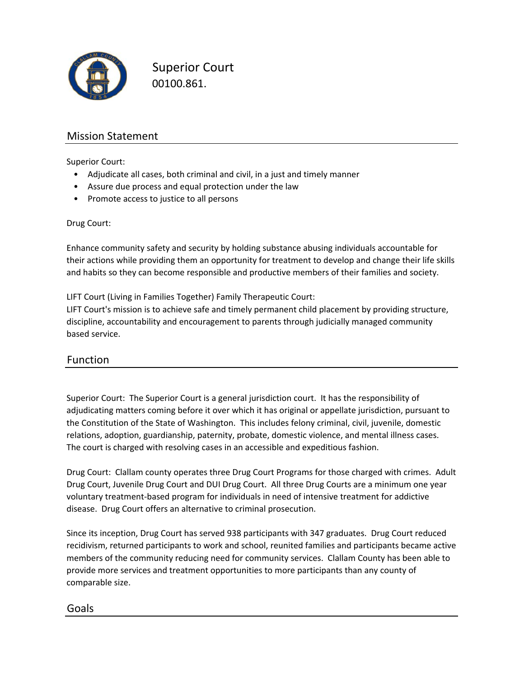

Superior Court 00100.861.

## Mission Statement

Superior Court:

- Adjudicate all cases, both criminal and civil, in a just and timely manner
- Assure due process and equal protection under the law
- Promote access to justice to all persons

Drug Court:

Enhance community safety and security by holding substance abusing individuals accountable for their actions while providing them an opportunity for treatment to develop and change their life skills and habits so they can become responsible and productive members of their families and society.

LIFT Court (Living in Families Together) Family Therapeutic Court:

LIFT Court's mission is to achieve safe and timely permanent child placement by providing structure, discipline, accountability and encouragement to parents through judicially managed community based service.

#### Function

Superior Court: The Superior Court is a general jurisdiction court. It has the responsibility of adjudicating matters coming before it over which it has original or appellate jurisdiction, pursuant to the Constitution of the State of Washington. This includes felony criminal, civil, juvenile, domestic relations, adoption, guardianship, paternity, probate, domestic violence, and mental illness cases. The court is charged with resolving cases in an accessible and expeditious fashion.

Drug Court: Clallam county operates three Drug Court Programs for those charged with crimes. Adult Drug Court, Juvenile Drug Court and DUI Drug Court. All three Drug Courts are a minimum one year voluntary treatment‐based program for individuals in need of intensive treatment for addictive disease. Drug Court offers an alternative to criminal prosecution.

Since its inception, Drug Court has served 938 participants with 347 graduates. Drug Court reduced recidivism, returned participants to work and school, reunited families and participants became active members of the community reducing need for community services. Clallam County has been able to provide more services and treatment opportunities to more participants than any county of comparable size.

### Goals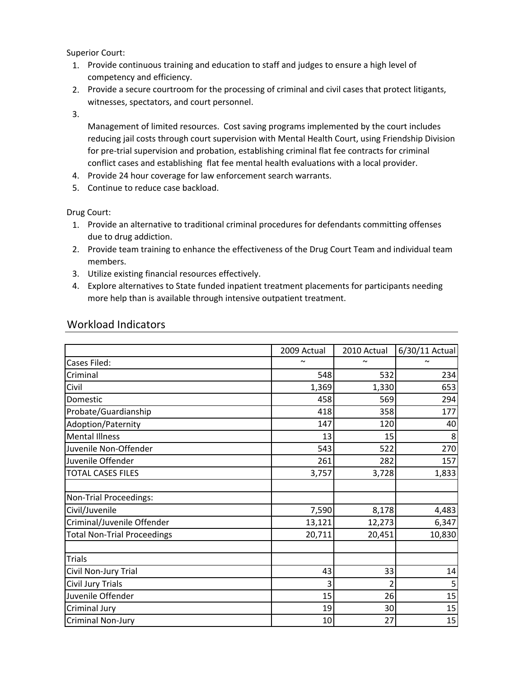Superior Court:

- 1. Provide continuous training and education to staff and judges to ensure a high level of competency and efficiency.
- 2. Provide a secure courtroom for the processing of criminal and civil cases that protect litigants, witnesses, spectators, and court personnel.

3.

Management of limited resources. Cost saving programs implemented by the court includes reducing jail costs through court supervision with Mental Health Court, using Friendship Division for pre-trial supervision and probation, establishing criminal flat fee contracts for criminal conflict cases and establishing flat fee mental health evaluations with a local provider.

- 4. Provide 24 hour coverage for law enforcement search warrants.
- 5. Continue to reduce case backload.

Drug Court:

- 1. Provide an alternative to traditional criminal procedures for defendants committing offenses due to drug addiction.
- 2. Provide team training to enhance the effectiveness of the Drug Court Team and individual team members.
- 3. Utilize existing financial resources effectively.
- 4. Explore alternatives to State funded inpatient treatment placements for participants needing more help than is available through intensive outpatient treatment.

|                                    | 2009 Actual | 2010 Actual | 6/30/11 Actual |
|------------------------------------|-------------|-------------|----------------|
| Cases Filed:                       | $\sim$      | $\sim$      | $\sim$         |
| Criminal                           | 548         | 532         | 234            |
| Civil                              | 1,369       | 1,330       | 653            |
| Domestic                           | 458         | 569         | 294            |
| Probate/Guardianship               | 418         | 358         | 177            |
| Adoption/Paternity                 | 147         | 120         | 40             |
| <b>Mental Illness</b>              | 13          | 15          | 8              |
| Juvenile Non-Offender              | 543         | 522         | 270            |
| Juvenile Offender                  | 261         | 282         | 157            |
| <b>TOTAL CASES FILES</b>           | 3,757       | 3,728       | 1,833          |
|                                    |             |             |                |
| Non-Trial Proceedings:             |             |             |                |
| Civil/Juvenile                     | 7,590       | 8,178       | 4,483          |
| Criminal/Juvenile Offender         | 13,121      | 12,273      | 6,347          |
| <b>Total Non-Trial Proceedings</b> | 20,711      | 20,451      | 10,830         |
|                                    |             |             |                |
| <b>Trials</b>                      |             |             |                |
| Civil Non-Jury Trial               | 43          | 33          | 14             |
| Civil Jury Trials                  | 3           | 2           | 5              |
| Juvenile Offender                  | 15          | 26          | 15             |
| Criminal Jury                      | 19          | 30          | 15             |
| <b>Criminal Non-Jury</b>           | 10          | 27          | 15             |

### Workload Indicators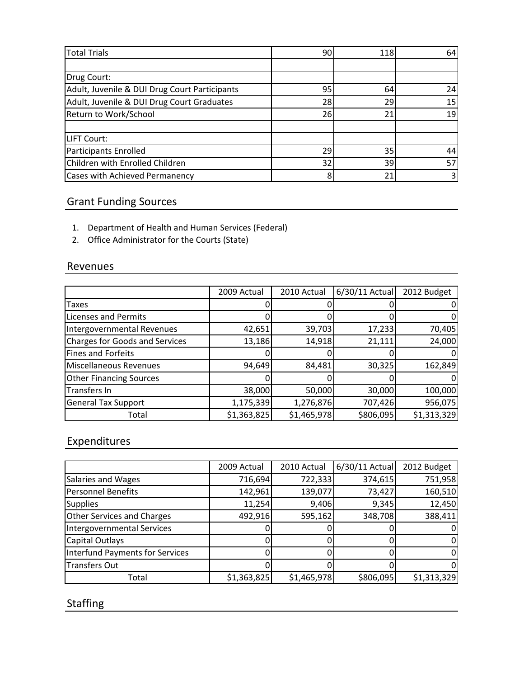| <b>Total Trials</b>                           | 90 | 118 | 64 |
|-----------------------------------------------|----|-----|----|
|                                               |    |     |    |
| Drug Court:                                   |    |     |    |
| Adult, Juvenile & DUI Drug Court Participants | 95 | 64  | 24 |
| Adult, Juvenile & DUI Drug Court Graduates    | 28 | 29  | 15 |
| Return to Work/School                         | 26 | 21  | 19 |
|                                               |    |     |    |
| LIFT Court:                                   |    |     |    |
| <b>Participants Enrolled</b>                  | 29 | 35  | 44 |
| Children with Enrolled Children               | 32 | 39  | 57 |
| Cases with Achieved Permanency                | 8  | 21  |    |

# Grant Funding Sources

- 1. Department of Health and Human Services (Federal)
- 2. Office Administrator for the Courts (State)

### Revenues

|                                | 2009 Actual | 2010 Actual | $6/30/11$ Actual | 2012 Budget |
|--------------------------------|-------------|-------------|------------------|-------------|
| Taxes                          |             |             |                  |             |
| <b>Licenses and Permits</b>    |             |             |                  |             |
| Intergovernmental Revenues     | 42,651      | 39,703      | 17,233           | 70,405      |
| Charges for Goods and Services | 13,186      | 14,918      | 21,111           | 24,000      |
| <b>Fines and Forfeits</b>      |             |             |                  |             |
| <b>Miscellaneous Revenues</b>  | 94,649      | 84,481      | 30,325           | 162,849     |
| <b>Other Financing Sources</b> |             |             |                  |             |
| Transfers In                   | 38,000      | 50,000      | 30,000           | 100,000     |
| <b>General Tax Support</b>     | 1,175,339   | 1,276,876   | 707,426          | 956,075     |
| Total                          | \$1,363,825 | \$1,465,978 | \$806,095        | \$1,313,329 |

# Expenditures

|                                   | 2009 Actual | 2010 Actual | $6/30/11$ Actual | 2012 Budget |
|-----------------------------------|-------------|-------------|------------------|-------------|
| Salaries and Wages                | 716,694     | 722,333     | 374,615          | 751,958     |
| <b>Personnel Benefits</b>         | 142,961     | 139,077     | 73,427           | 160,510     |
| <b>Supplies</b>                   | 11,254      | 9,406       | 9,345            | 12,450      |
| <b>Other Services and Charges</b> | 492,916     | 595,162     | 348,708          | 388,411     |
| <b>Intergovernmental Services</b> |             |             |                  | 0           |
| Capital Outlays                   |             |             |                  | 0           |
| Interfund Payments for Services   |             |             |                  | $\Omega$    |
| <b>Transfers Out</b>              |             |             |                  | 0           |
| Total                             | \$1,363,825 | \$1,465,978 | \$806,095        | \$1,313,329 |

# **Staffing**